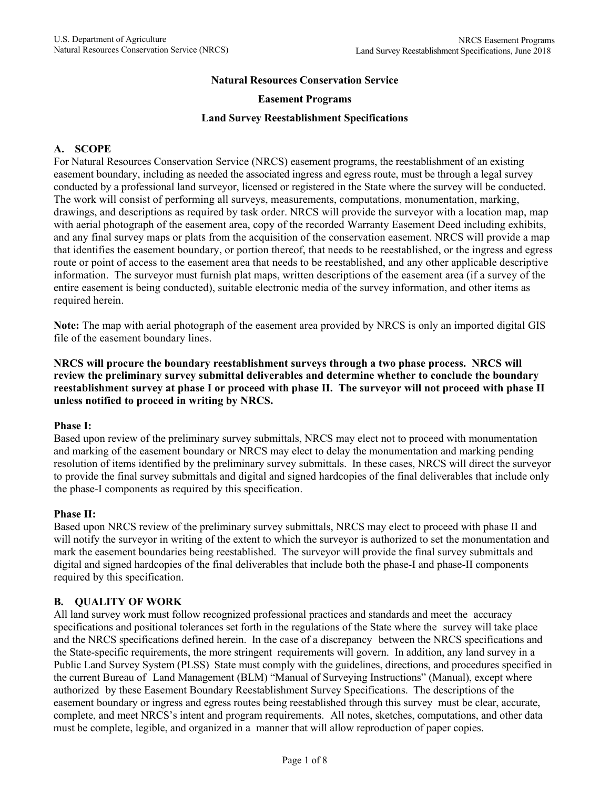#### **Natural Resources Conservation Service**

#### **Easement Programs**

#### **Land Survey Reestablishment Specifications**

## **A. SCOPE**

For Natural Resources Conservation Service (NRCS) easement programs, the reestablishment of an existing easement boundary, including as needed the associated ingress and egress route, must be through a legal survey conducted by a professional land surveyor, licensed or registered in the State where the survey will be conducted. The work will consist of performing all surveys, measurements, computations, monumentation, marking, drawings, and descriptions as required by task order. NRCS will provide the surveyor with a location map, map with aerial photograph of the easement area, copy of the recorded Warranty Easement Deed including exhibits, and any final survey maps or plats from the acquisition of the conservation easement. NRCS will provide a map that identifies the easement boundary, or portion thereof, that needs to be reestablished, or the ingress and egress route or point of access to the easement area that needs to be reestablished, and any other applicable descriptive information. The surveyor must furnish plat maps, written descriptions of the easement area (if a survey of the entire easement is being conducted), suitable electronic media of the survey information, and other items as required herein.

**Note:** The map with aerial photograph of the easement area provided by NRCS is only an imported digital GIS file of the easement boundary lines.

**NRCS will procure the boundary reestablishment surveys through a two phase process. NRCS will review the preliminary survey submittal deliverables and determine whether to conclude the boundary reestablishment survey at phase I or proceed with phase II. The surveyor will not proceed with phase II unless notified to proceed in writing by NRCS.**

#### **Phase I:**

Based upon review of the preliminary survey submittals, NRCS may elect not to proceed with monumentation and marking of the easement boundary or NRCS may elect to delay the monumentation and marking pending resolution of items identified by the preliminary survey submittals. In these cases, NRCS will direct the surveyor to provide the final survey submittals and digital and signed hardcopies of the final deliverables that include only the phase-I components as required by this specification.

#### **Phase II:**

Based upon NRCS review of the preliminary survey submittals, NRCS may elect to proceed with phase II and will notify the surveyor in writing of the extent to which the surveyor is authorized to set the monumentation and mark the easement boundaries being reestablished. The surveyor will provide the final survey submittals and digital and signed hardcopies of the final deliverables that include both the phase-I and phase-II components required by this specification.

### **B. QUALITY OF WORK**

All land survey work must follow recognized professional practices and standards and meet the accuracy specifications and positional tolerances set forth in the regulations of the State where the survey will take place and the NRCS specifications defined herein. In the case of a discrepancy between the NRCS specifications and the State-specific requirements, the more stringent requirements will govern. In addition, any land survey in a Public Land Survey System (PLSS) State must comply with the guidelines, directions, and procedures specified in the current Bureau of Land Management (BLM) "Manual of Surveying Instructions" (Manual), except where authorized by these Easement Boundary Reestablishment Survey Specifications. The descriptions of the easement boundary or ingress and egress routes being reestablished through this survey must be clear, accurate, complete, and meet NRCS's intent and program requirements. All notes, sketches, computations, and other data must be complete, legible, and organized in a manner that will allow reproduction of paper copies.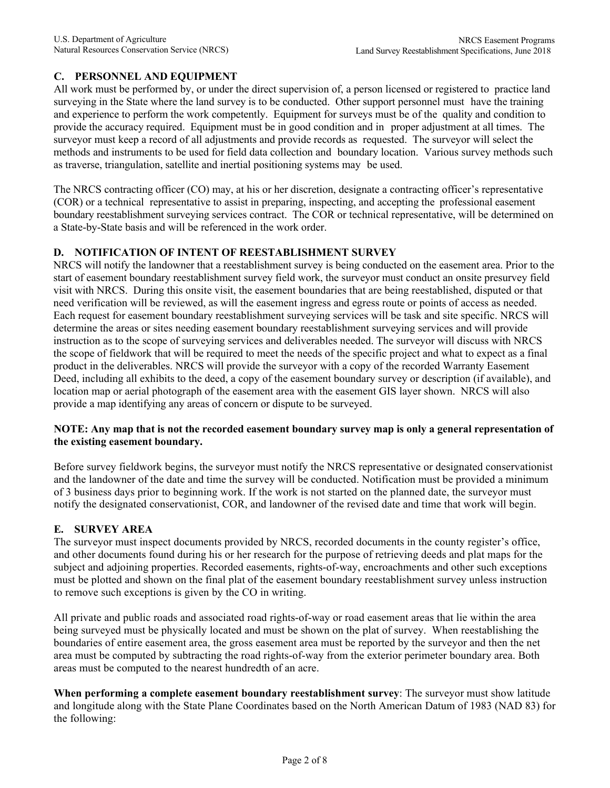# **C. PERSONNEL AND EQUIPMENT**

All work must be performed by, or under the direct supervision of, a person licensed or registered to practice land surveying in the State where the land survey is to be conducted. Other support personnel must have the training and experience to perform the work competently. Equipment for surveys must be of the quality and condition to provide the accuracy required. Equipment must be in good condition and in proper adjustment at all times. The surveyor must keep a record of all adjustments and provide records as requested. The surveyor will select the methods and instruments to be used for field data collection and boundary location. Various survey methods such as traverse, triangulation, satellite and inertial positioning systems may be used.

The NRCS contracting officer (CO) may, at his or her discretion, designate a contracting officer's representative (COR) or a technical representative to assist in preparing, inspecting, and accepting the professional easement boundary reestablishment surveying services contract. The COR or technical representative, will be determined on a State-by-State basis and will be referenced in the work order.

## **D. NOTIFICATION OF INTENT OF REESTABLISHMENT SURVEY**

NRCS will notify the landowner that a reestablishment survey is being conducted on the easement area. Prior to the start of easement boundary reestablishment survey field work, the surveyor must conduct an onsite presurvey field visit with NRCS. During this onsite visit, the easement boundaries that are being reestablished, disputed or that need verification will be reviewed, as will the easement ingress and egress route or points of access as needed. Each request for easement boundary reestablishment surveying services will be task and site specific. NRCS will determine the areas or sites needing easement boundary reestablishment surveying services and will provide instruction as to the scope of surveying services and deliverables needed. The surveyor will discuss with NRCS the scope of fieldwork that will be required to meet the needs of the specific project and what to expect as a final product in the deliverables. NRCS will provide the surveyor with a copy of the recorded Warranty Easement Deed, including all exhibits to the deed, a copy of the easement boundary survey or description (if available), and location map or aerial photograph of the easement area with the easement GIS layer shown. NRCS will also provide a map identifying any areas of concern or dispute to be surveyed.

### **NOTE: Any map that is not the recorded easement boundary survey map is only a general representation of the existing easement boundary.**

Before survey fieldwork begins, the surveyor must notify the NRCS representative or designated conservationist and the landowner of the date and time the survey will be conducted. Notification must be provided a minimum of 3 business days prior to beginning work. If the work is not started on the planned date, the surveyor must notify the designated conservationist, COR, and landowner of the revised date and time that work will begin.

### **E. SURVEY AREA**

The surveyor must inspect documents provided by NRCS, recorded documents in the county register's office, and other documents found during his or her research for the purpose of retrieving deeds and plat maps for the subject and adjoining properties. Recorded easements, rights-of-way, encroachments and other such exceptions must be plotted and shown on the final plat of the easement boundary reestablishment survey unless instruction to remove such exceptions is given by the CO in writing.

All private and public roads and associated road rights-of-way or road easement areas that lie within the area being surveyed must be physically located and must be shown on the plat of survey. When reestablishing the boundaries of entire easement area, the gross easement area must be reported by the surveyor and then the net area must be computed by subtracting the road rights-of-way from the exterior perimeter boundary area. Both areas must be computed to the nearest hundredth of an acre.

**When performing a complete easement boundary reestablishment survey**: The surveyor must show latitude and longitude along with the State Plane Coordinates based on the North American Datum of 1983 (NAD 83) for the following: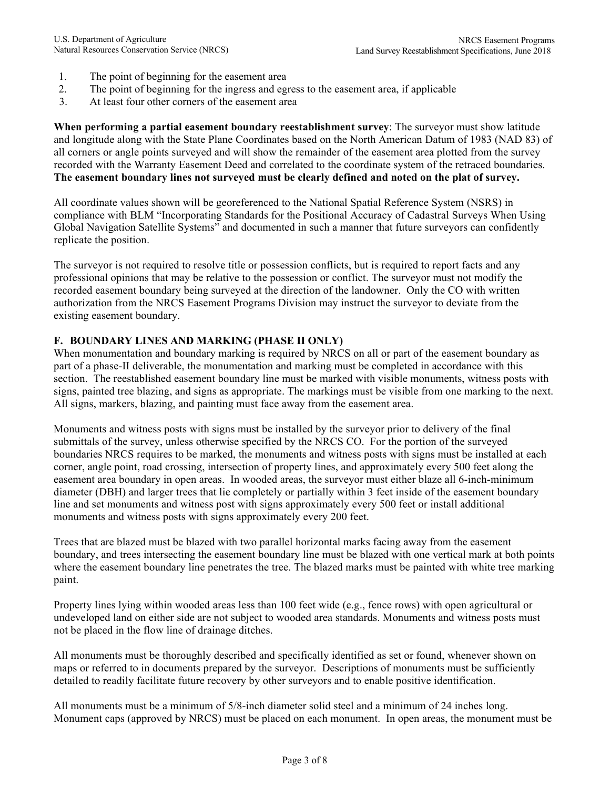- 1. The point of beginning for the easement area
- 2. The point of beginning for the ingress and egress to the easement area, if applicable
- 3. At least four other corners of the easement area

**When performing a partial easement boundary reestablishment survey**: The surveyor must show latitude and longitude along with the State Plane Coordinates based on the North American Datum of 1983 (NAD 83) of all corners or angle points surveyed and will show the remainder of the easement area plotted from the survey recorded with the Warranty Easement Deed and correlated to the coordinate system of the retraced boundaries. **The easement boundary lines not surveyed must be clearly defined and noted on the plat of survey.**

All coordinate values shown will be georeferenced to the National Spatial Reference System (NSRS) in compliance with BLM "Incorporating Standards for the Positional Accuracy of Cadastral Surveys When Using Global Navigation Satellite Systems" and documented in such a manner that future surveyors can confidently replicate the position.

The surveyor is not required to resolve title or possession conflicts, but is required to report facts and any professional opinions that may be relative to the possession or conflict. The surveyor must not modify the recorded easement boundary being surveyed at the direction of the landowner. Only the CO with written authorization from the NRCS Easement Programs Division may instruct the surveyor to deviate from the existing easement boundary.

## **F. BOUNDARY LINES AND MARKING (PHASE II ONLY)**

When monumentation and boundary marking is required by NRCS on all or part of the easement boundary as part of a phase-II deliverable, the monumentation and marking must be completed in accordance with this section. The reestablished easement boundary line must be marked with visible monuments, witness posts with signs, painted tree blazing, and signs as appropriate. The markings must be visible from one marking to the next. All signs, markers, blazing, and painting must face away from the easement area.

Monuments and witness posts with signs must be installed by the surveyor prior to delivery of the final submittals of the survey, unless otherwise specified by the NRCS CO. For the portion of the surveyed boundaries NRCS requires to be marked, the monuments and witness posts with signs must be installed at each corner, angle point, road crossing, intersection of property lines, and approximately every 500 feet along the easement area boundary in open areas. In wooded areas, the surveyor must either blaze all 6-inch-minimum diameter (DBH) and larger trees that lie completely or partially within 3 feet inside of the easement boundary line and set monuments and witness post with signs approximately every 500 feet or install additional monuments and witness posts with signs approximately every 200 feet.

Trees that are blazed must be blazed with two parallel horizontal marks facing away from the easement boundary, and trees intersecting the easement boundary line must be blazed with one vertical mark at both points where the easement boundary line penetrates the tree. The blazed marks must be painted with white tree marking paint.

Property lines lying within wooded areas less than 100 feet wide (e.g., fence rows) with open agricultural or undeveloped land on either side are not subject to wooded area standards. Monuments and witness posts must not be placed in the flow line of drainage ditches.

All monuments must be thoroughly described and specifically identified as set or found, whenever shown on maps or referred to in documents prepared by the surveyor. Descriptions of monuments must be sufficiently detailed to readily facilitate future recovery by other surveyors and to enable positive identification.

All monuments must be a minimum of 5/8-inch diameter solid steel and a minimum of 24 inches long. Monument caps (approved by NRCS) must be placed on each monument. In open areas, the monument must be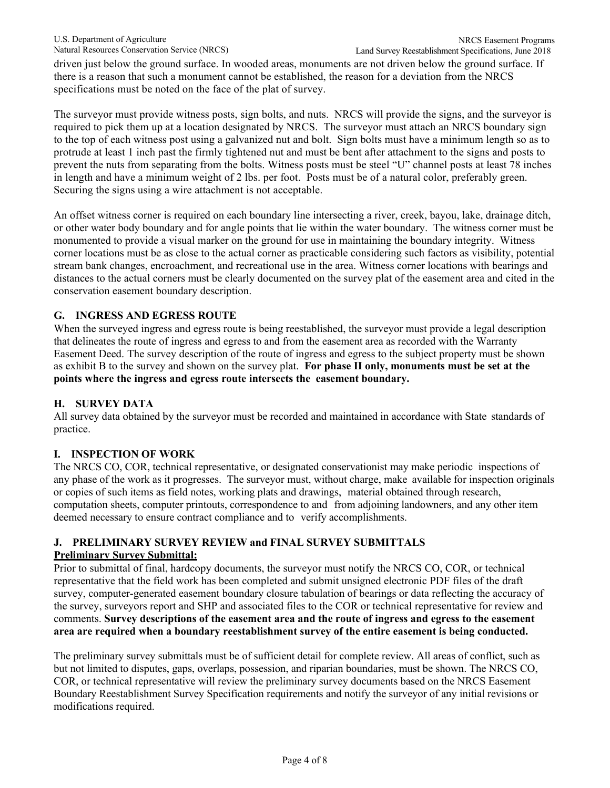driven just below the ground surface. In wooded areas, monuments are not driven below the ground surface. If there is a reason that such a monument cannot be established, the reason for a deviation from the NRCS specifications must be noted on the face of the plat of survey.

The surveyor must provide witness posts, sign bolts, and nuts. NRCS will provide the signs, and the surveyor is required to pick them up at a location designated by NRCS. The surveyor must attach an NRCS boundary sign to the top of each witness post using a galvanized nut and bolt. Sign bolts must have a minimum length so as to protrude at least 1 inch past the firmly tightened nut and must be bent after attachment to the signs and posts to prevent the nuts from separating from the bolts. Witness posts must be steel "U" channel posts at least 78 inches in length and have a minimum weight of 2 lbs. per foot. Posts must be of a natural color, preferably green. Securing the signs using a wire attachment is not acceptable.

An offset witness corner is required on each boundary line intersecting a river, creek, bayou, lake, drainage ditch, or other water body boundary and for angle points that lie within the water boundary. The witness corner must be monumented to provide a visual marker on the ground for use in maintaining the boundary integrity. Witness corner locations must be as close to the actual corner as practicable considering such factors as visibility, potential stream bank changes, encroachment, and recreational use in the area. Witness corner locations with bearings and distances to the actual corners must be clearly documented on the survey plat of the easement area and cited in the conservation easement boundary description.

# **G. INGRESS AND EGRESS ROUTE**

When the surveyed ingress and egress route is being reestablished, the surveyor must provide a legal description that delineates the route of ingress and egress to and from the easement area as recorded with the Warranty Easement Deed. The survey description of the route of ingress and egress to the subject property must be shown as exhibit B to the survey and shown on the survey plat. **For phase II only, monuments must be set at the points where the ingress and egress route intersects the easement boundary.**

# **H. SURVEY DATA**

All survey data obtained by the surveyor must be recorded and maintained in accordance with State standards of practice.

# **I. INSPECTION OF WORK**

The NRCS CO, COR, technical representative, or designated conservationist may make periodic inspections of any phase of the work as it progresses. The surveyor must, without charge, make available for inspection originals or copies of such items as field notes, working plats and drawings, material obtained through research, computation sheets, computer printouts, correspondence to and from adjoining landowners, and any other item deemed necessary to ensure contract compliance and to verify accomplishments.

#### **J. PRELIMINARY SURVEY REVIEW and FINAL SURVEY SUBMITTALS Preliminary Survey Submittal:**

Prior to submittal of final, hardcopy documents, the surveyor must notify the NRCS CO, COR, or technical representative that the field work has been completed and submit unsigned electronic PDF files of the draft survey, computer-generated easement boundary closure tabulation of bearings or data reflecting the accuracy of the survey, surveyors report and SHP and associated files to the COR or technical representative for review and comments. **Survey descriptions of the easement area and the route of ingress and egress to the easement area are required when a boundary reestablishment survey of the entire easement is being conducted.**

The preliminary survey submittals must be of sufficient detail for complete review. All areas of conflict, such as but not limited to disputes, gaps, overlaps, possession, and riparian boundaries, must be shown. The NRCS CO, COR, or technical representative will review the preliminary survey documents based on the NRCS Easement Boundary Reestablishment Survey Specification requirements and notify the surveyor of any initial revisions or modifications required.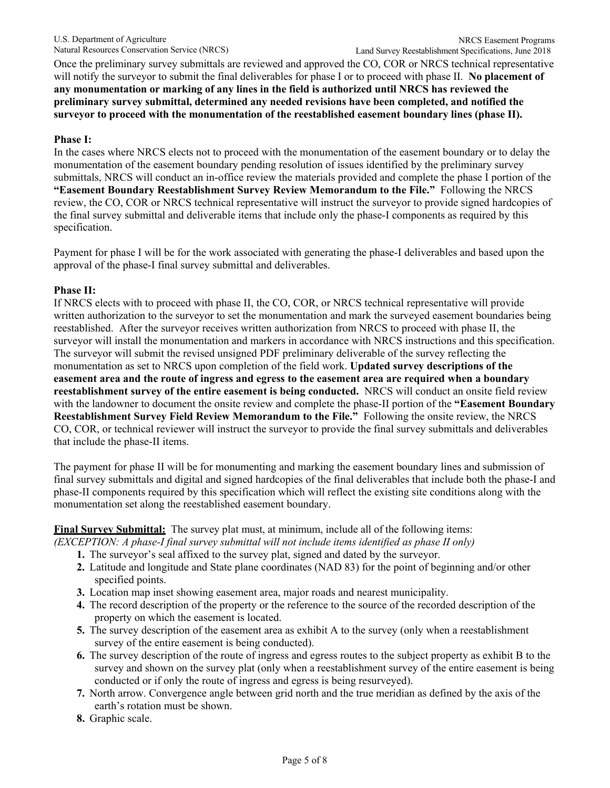Once the preliminary survey submittals are reviewed and approved the CO, COR or NRCS technical representative will notify the surveyor to submit the final deliverables for phase I or to proceed with phase II. **No placement of any monumentation or marking of any lines in the field is authorized until NRCS has reviewed the preliminary survey submittal, determined any needed revisions have been completed, and notified the surveyor to proceed with the monumentation of the reestablished easement boundary lines (phase II).**

## **Phase I:**

In the cases where NRCS elects not to proceed with the monumentation of the easement boundary or to delay the monumentation of the easement boundary pending resolution of issues identified by the preliminary survey submittals, NRCS will conduct an in-office review the materials provided and complete the phase I portion of the **"Easement Boundary Reestablishment Survey Review Memorandum to the File."** Following the NRCS review, the CO, COR or NRCS technical representative will instruct the surveyor to provide signed hardcopies of the final survey submittal and deliverable items that include only the phase-I components as required by this specification.

Payment for phase I will be for the work associated with generating the phase-I deliverables and based upon the approval of the phase-I final survey submittal and deliverables.

## **Phase II:**

If NRCS elects with to proceed with phase II, the CO, COR, or NRCS technical representative will provide written authorization to the surveyor to set the monumentation and mark the surveyed easement boundaries being reestablished. After the surveyor receives written authorization from NRCS to proceed with phase II, the surveyor will install the monumentation and markers in accordance with NRCS instructions and this specification. The surveyor will submit the revised unsigned PDF preliminary deliverable of the survey reflecting the monumentation as set to NRCS upon completion of the field work. **Updated survey descriptions of the easement area and the route of ingress and egress to the easement area are required when a boundary reestablishment survey of the entire easement is being conducted.** NRCS will conduct an onsite field review with the landowner to document the onsite review and complete the phase-II portion of the **"Easement Boundary Reestablishment Survey Field Review Memorandum to the File."** Following the onsite review, the NRCS CO, COR, or technical reviewer will instruct the surveyor to provide the final survey submittals and deliverables that include the phase-II items.

The payment for phase II will be for monumenting and marking the easement boundary lines and submission of final survey submittals and digital and signed hardcopies of the final deliverables that include both the phase-I and phase-II components required by this specification which will reflect the existing site conditions along with the monumentation set along the reestablished easement boundary.

**Final Survey Submittal:** The survey plat must, at minimum, include all of the following items:

*(EXCEPTION: A phase-I final survey submittal will not include items identified as phase II only)*

- **1.** The surveyor's seal affixed to the survey plat, signed and dated by the surveyor.
- **2.** Latitude and longitude and State plane coordinates (NAD 83) for the point of beginning and/or other specified points.
- **3.** Location map inset showing easement area, major roads and nearest municipality.
- **4.** The record description of the property or the reference to the source of the recorded description of the property on which the easement is located.
- **5.** The survey description of the easement area as exhibit A to the survey (only when a reestablishment survey of the entire easement is being conducted).
- **6.** The survey description of the route of ingress and egress routes to the subject property as exhibit B to the survey and shown on the survey plat (only when a reestablishment survey of the entire easement is being conducted or if only the route of ingress and egress is being resurveyed).
- **7.** North arrow. Convergence angle between grid north and the true meridian as defined by the axis of the earth's rotation must be shown.
- **8.** Graphic scale.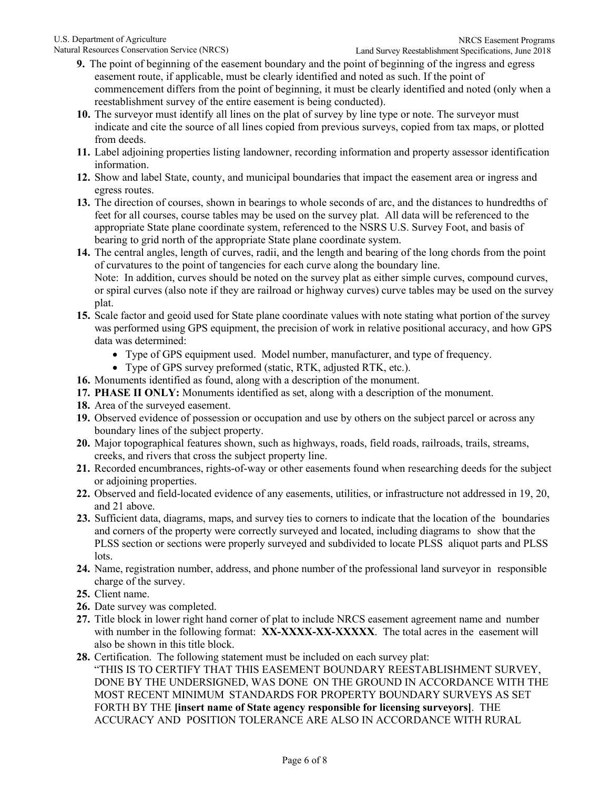- **9.** The point of beginning of the easement boundary and the point of beginning of the ingress and egress easement route, if applicable, must be clearly identified and noted as such. If the point of commencement differs from the point of beginning, it must be clearly identified and noted (only when a reestablishment survey of the entire easement is being conducted).
- **10.** The surveyor must identify all lines on the plat of survey by line type or note. The surveyor must indicate and cite the source of all lines copied from previous surveys, copied from tax maps, or plotted from deeds.
- **11.** Label adjoining properties listing landowner, recording information and property assessor identification information.
- **12.** Show and label State, county, and municipal boundaries that impact the easement area or ingress and egress routes.
- **13.** The direction of courses, shown in bearings to whole seconds of arc, and the distances to hundredths of feet for all courses, course tables may be used on the survey plat. All data will be referenced to the appropriate State plane coordinate system, referenced to the NSRS U.S. Survey Foot, and basis of bearing to grid north of the appropriate State plane coordinate system.
- **14.** The central angles, length of curves, radii, and the length and bearing of the long chords from the point of curvatures to the point of tangencies for each curve along the boundary line. Note: In addition, curves should be noted on the survey plat as either simple curves, compound curves, or spiral curves (also note if they are railroad or highway curves) curve tables may be used on the survey plat.
- **15.** Scale factor and geoid used for State plane coordinate values with note stating what portion of the survey was performed using GPS equipment, the precision of work in relative positional accuracy, and how GPS data was determined:
	- Type of GPS equipment used. Model number, manufacturer, and type of frequency.
	- Type of GPS survey preformed (static, RTK, adjusted RTK, etc.).
- **16.** Monuments identified as found, along with a description of the monument.
- **17. PHASE II ONLY:** Monuments identified as set, along with a description of the monument.
- **18.** Area of the surveyed easement.
- **19.** Observed evidence of possession or occupation and use by others on the subject parcel or across any boundary lines of the subject property.
- **20.** Major topographical features shown, such as highways, roads, field roads, railroads, trails, streams, creeks, and rivers that cross the subject property line.
- **21.** Recorded encumbrances, rights-of-way or other easements found when researching deeds for the subject or adjoining properties.
- **22.** Observed and field-located evidence of any easements, utilities, or infrastructure not addressed in 19, 20, and 21 above.
- **23.** Sufficient data, diagrams, maps, and survey ties to corners to indicate that the location of the boundaries and corners of the property were correctly surveyed and located, including diagrams to show that the PLSS section or sections were properly surveyed and subdivided to locate PLSS aliquot parts and PLSS lots.
- **24.** Name, registration number, address, and phone number of the professional land surveyor in responsible charge of the survey.
- **25.** Client name.
- **26.** Date survey was completed.
- **27.** Title block in lower right hand corner of plat to include NRCS easement agreement name and number with number in the following format: **XX-XXXX-XX-XXXXX**. The total acres in the easement will also be shown in this title block.
- **28.** Certification. The following statement must be included on each survey plat: "THIS IS TO CERTIFY THAT THIS EASEMENT BOUNDARY REESTABLISHMENT SURVEY, DONE BY THE UNDERSIGNED, WAS DONE ON THE GROUND IN ACCORDANCE WITH THE MOST RECENT MINIMUM STANDARDS FOR PROPERTY BOUNDARY SURVEYS AS SET FORTH BY THE **[insert name of State agency responsible for licensing surveyors]**. THE ACCURACY AND POSITION TOLERANCE ARE ALSO IN ACCORDANCE WITH RURAL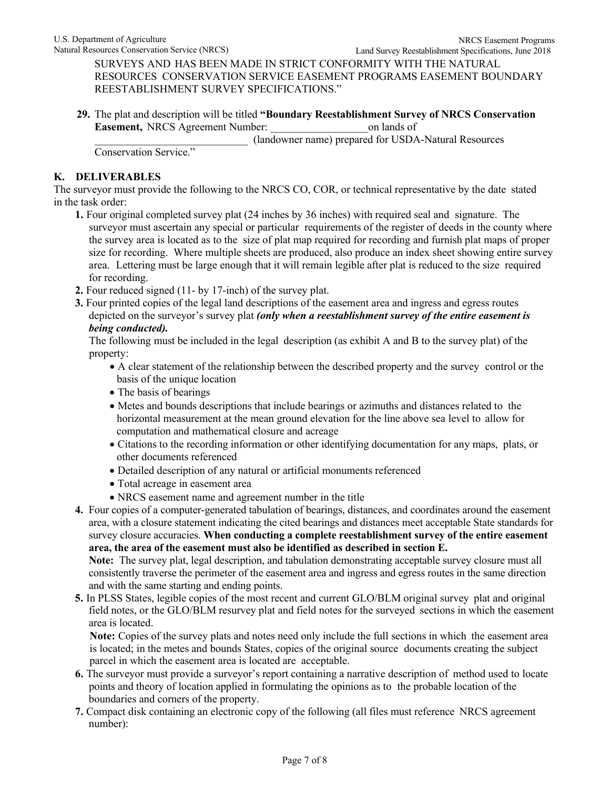Land Survey Reestablishment Specifications, June 2018 SURVEYS AND HAS BEEN MADE IN STRICT CONFORMITY WITH THE NATURAL RESOURCES CONSERVATION SERVICE EASEMENT PROGRAMS EASEMENT BOUNDARY REESTABLISHMENT SURVEY SPECIFICATIONS."

**29.** The plat and description will be titled **"Boundary Reestablishment Survey of NRCS Conservation Easement,** NRCS Agreement Number:  $\blacksquare$  on lands of

\_\_\_\_\_\_\_\_\_\_\_\_\_\_\_\_\_\_\_\_\_\_\_\_\_\_\_\_ (landowner name) prepared for USDA-Natural Resources

Conservation Service."

## **K. DELIVERABLES**

The surveyor must provide the following to the NRCS CO, COR, or technical representative by the date stated in the task order:

- **1.** Four original completed survey plat (24 inches by 36 inches) with required seal and signature. The surveyor must ascertain any special or particular requirements of the register of deeds in the county where the survey area is located as to the size of plat map required for recording and furnish plat maps of proper size for recording. Where multiple sheets are produced, also produce an index sheet showing entire survey area. Lettering must be large enough that it will remain legible after plat is reduced to the size required for recording.
- **2.** Four reduced signed (11- by 17-inch) of the survey plat.
- **3.** Four printed copies of the legal land descriptions of the easement area and ingress and egress routes depicted on the surveyor's survey plat *(only when a reestablishment survey of the entire easement is being conducted).*

The following must be included in the legal description (as exhibit A and B to the survey plat) of the property:

- A clear statement of the relationship between the described property and the survey control or the basis of the unique location
- The basis of bearings
- Metes and bounds descriptions that include bearings or azimuths and distances related to the horizontal measurement at the mean ground elevation for the line above sea level to allow for computation and mathematical closure and acreage
- Citations to the recording information or other identifying documentation for any maps, plats, or other documents referenced
- Detailed description of any natural or artificial monuments referenced
- Total acreage in easement area
- NRCS easement name and agreement number in the title
- **4.** Four copies of a computer-generated tabulation of bearings, distances, and coordinates around the easement area, with a closure statement indicating the cited bearings and distances meet acceptable State standards for survey closure accuracies. **When conducting a complete reestablishment survey of the entire easement area, the area of the easement must also be identified as described in section E.**

**Note:** The survey plat, legal description, and tabulation demonstrating acceptable survey closure must all consistently traverse the perimeter of the easement area and ingress and egress routes in the same direction and with the same starting and ending points.

**5.** In PLSS States, legible copies of the most recent and current GLO/BLM original survey plat and original field notes, or the GLO/BLM resurvey plat and field notes for the surveyed sections in which the easement area is located.

**Note:** Copies of the survey plats and notes need only include the full sections in which the easement area is located; in the metes and bounds States, copies of the original source documents creating the subject parcel in which the easement area is located are acceptable.

- **6.** The surveyor must provide a surveyor's report containing a narrative description of method used to locate points and theory of location applied in formulating the opinions as to the probable location of the boundaries and corners of the property.
- **7.** Compact disk containing an electronic copy of the following (all files must reference NRCS agreement number):